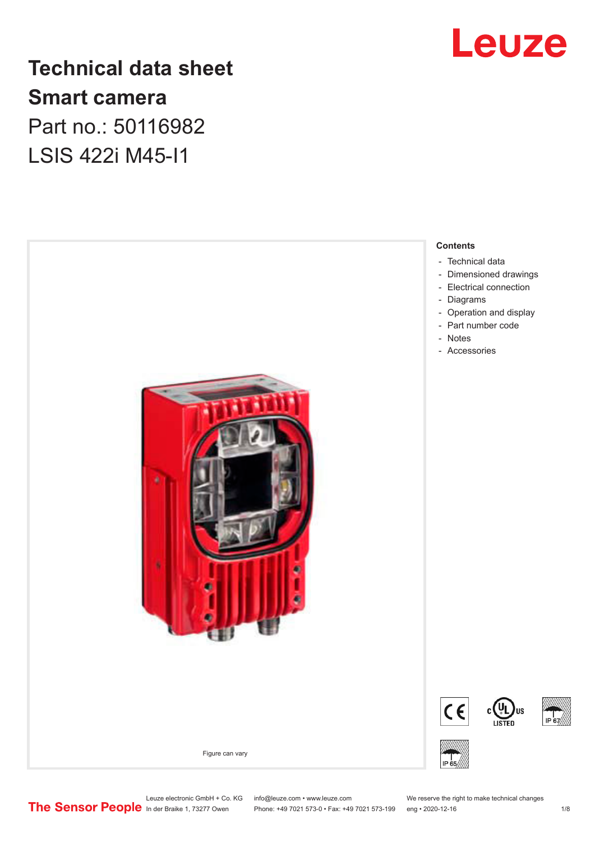

# **Technical data sheet Smart camera** Part no.: 50116982

LSIS 422i M45-I1



Phone: +49 7021 573-0 • Fax: +49 7021 573-199 eng • 2020-12-16

Leuze electronic GmbH + Co. KG info@leuze.com • www.leuze.com We reserve the right to make technical changes<br>
The Sensor People in der Braike 1, 73277 Owen Phone: +49 7021 573-0 • Fax: +49 7021 573-199 eng • 2020-12-16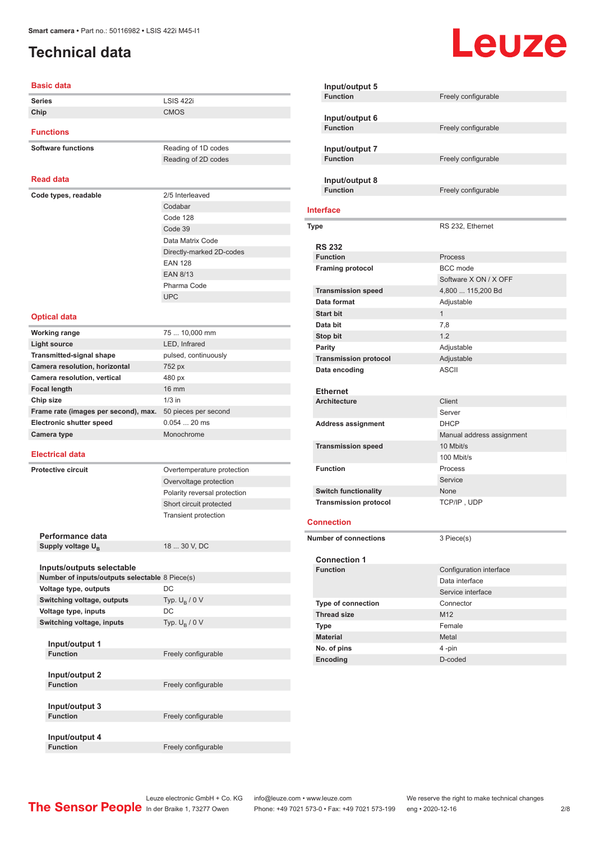# <span id="page-1-0"></span>**Technical data**

#### **Basic data**

| <b>Series</b>                                  | LSIS 422i                    |
|------------------------------------------------|------------------------------|
| Chip                                           | <b>CMOS</b>                  |
| <b>Functions</b>                               |                              |
|                                                |                              |
| <b>Software functions</b>                      | Reading of 1D codes          |
|                                                | Reading of 2D codes          |
| <b>Read data</b>                               |                              |
|                                                |                              |
| Code types, readable                           | 2/5 Interleaved              |
|                                                | Codabar<br>Code 128          |
|                                                | Code 39                      |
|                                                | Data Matrix Code             |
|                                                | Directly-marked 2D-codes     |
|                                                | <b>EAN 128</b>               |
|                                                | <b>EAN 8/13</b>              |
|                                                | Pharma Code                  |
|                                                | <b>UPC</b>                   |
|                                                |                              |
| <b>Optical data</b>                            |                              |
| <b>Working range</b>                           | 75  10,000 mm                |
| <b>Light source</b>                            | LED, Infrared                |
| <b>Transmitted-signal shape</b>                | pulsed, continuously         |
| Camera resolution, horizontal                  | 752 px                       |
| Camera resolution, vertical                    | 480 px                       |
| <b>Focal length</b>                            | <b>16 mm</b>                 |
| Chip size                                      | $1/3$ in                     |
| Frame rate (images per second), max.           | 50 pieces per second         |
| <b>Electronic shutter speed</b>                | $0.05420$ ms                 |
| Camera type                                    | Monochrome                   |
| <b>Electrical data</b>                         |                              |
| <b>Protective circuit</b>                      | Overtemperature protection   |
|                                                | Overvoltage protection       |
|                                                | Polarity reversal protection |
|                                                | Short circuit protected      |
|                                                | <b>Transient protection</b>  |
|                                                |                              |
| Performance data                               |                              |
| Supply voltage U <sub>B</sub>                  | 18  30 V, DC                 |
| Inputs/outputs selectable                      |                              |
| Number of inputs/outputs selectable 8 Piece(s) |                              |
| Voltage type, outputs                          | DC                           |
| Switching voltage, outputs                     | Typ. $U_{\rm B}$ / 0 V       |
| Voltage type, inputs                           | DC                           |
| Switching voltage, inputs                      | Typ. $U_B / 0 V$             |
| Input/output 1                                 |                              |
| <b>Function</b>                                | Freely configurable          |
|                                                |                              |
| Input/output 2                                 |                              |
| <b>Function</b>                                | Freely configurable          |
|                                                |                              |
| Input/output 3<br><b>Function</b>              |                              |
|                                                | Freely configurable          |
| Input/output 4                                 |                              |
| <b>Function</b>                                | Freely configurable          |

| Input/output 5               |                           |
|------------------------------|---------------------------|
| <b>Function</b>              | Freely configurable       |
|                              |                           |
| Input/output 6               |                           |
| <b>Function</b>              | Freely configurable       |
|                              |                           |
| Input/output 7               |                           |
| <b>Function</b>              | Freely configurable       |
|                              |                           |
| Input/output 8               |                           |
| <b>Function</b>              | Freely configurable       |
|                              |                           |
| <b>Interface</b>             |                           |
| Type                         | RS 232, Ethernet          |
|                              |                           |
| <b>RS 232</b>                |                           |
| <b>Function</b>              | Process                   |
| <b>Framing protocol</b>      | <b>BCC</b> mode           |
|                              | Software X ON / X OFF     |
| <b>Transmission speed</b>    | 4,800  115,200 Bd         |
| Data format                  | Adjustable                |
| <b>Start bit</b>             | $\mathbf{1}$              |
| Data bit                     | 7,8                       |
| <b>Stop bit</b>              | 1.2                       |
| <b>Parity</b>                | Adjustable                |
| <b>Transmission protocol</b> | Adjustable                |
| Data encoding                | <b>ASCII</b>              |
|                              |                           |
| <b>Ethernet</b>              |                           |
| <b>Architecture</b>          | Client                    |
|                              | Server                    |
| <b>Address assignment</b>    | <b>DHCP</b>               |
|                              | Manual address assignment |
|                              |                           |
| <b>Transmission speed</b>    | 10 Mbit/s                 |
|                              | 100 Mbit/s                |
| <b>Function</b>              | Process                   |
|                              | Service                   |
| <b>Switch functionality</b>  | None                      |
| <b>Transmission protocol</b> | TCP/IP, UDP               |
| <b>Connection</b>            |                           |
|                              |                           |
| <b>Number of connections</b> | 3 Piece(s)                |
|                              |                           |
| <b>Connection 1</b>          |                           |
| <b>Function</b>              | Configuration interface   |
|                              | Data interface            |
|                              | Service interface         |
| Type of connection           | Connector                 |
| <b>Thread size</b>           | M12                       |
| Type                         | Female                    |
| <b>Material</b>              | Metal                     |
|                              |                           |
| No. of pins                  | 4-pin                     |
| Encoding                     | D-coded                   |

# Leuze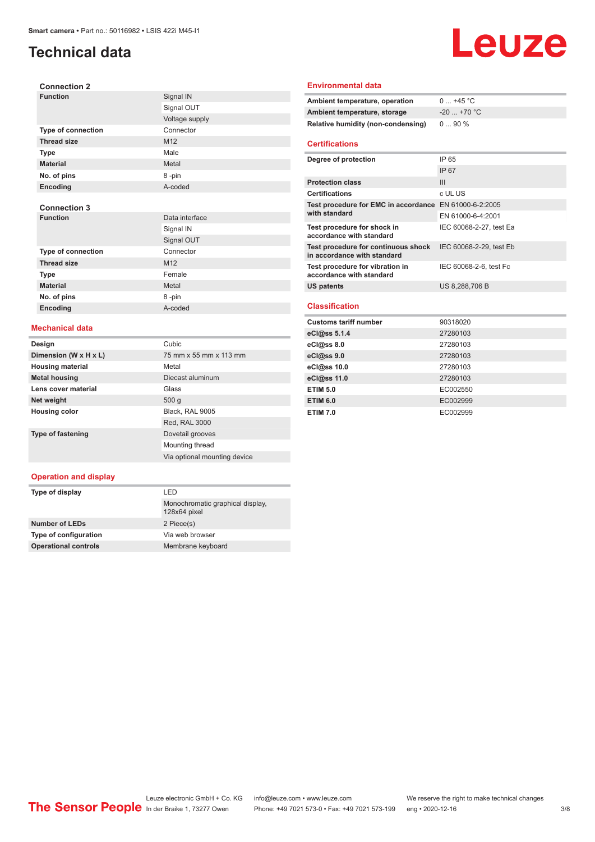# **Technical data**

# Leuze

| <b>Connection 2</b> |                |
|---------------------|----------------|
| <b>Function</b>     | Signal IN      |
|                     | Signal OUT     |
|                     | Voltage supply |
| Type of connection  | Connector      |
| <b>Thread size</b>  | M12            |
| <b>Type</b>         | Male           |
| <b>Material</b>     | Metal          |
| No. of pins         | 8-pin          |
| Encoding            | A-coded        |
|                     |                |
| <b>Connection 3</b> |                |
| <b>Function</b>     | Data interface |
|                     | Signal IN      |
|                     | Signal OUT     |
| Type of connection  | Connector      |
| <b>Thread size</b>  | M12            |
| <b>Type</b>         | Female         |
| <b>Material</b>     | Metal          |
| No. of pins         | 8-pin          |
| Encoding            | A-coded        |

#### **Mechanical data**

| Design                   | Cubic                        |
|--------------------------|------------------------------|
| Dimension (W x H x L)    | 75 mm x 55 mm x 113 mm       |
| <b>Housing material</b>  | Metal                        |
| <b>Metal housing</b>     | Diecast aluminum             |
| Lens cover material      | Glass                        |
| Net weight               | 500q                         |
| <b>Housing color</b>     | Black, RAL 9005              |
|                          | Red, RAL 3000                |
| <b>Type of fastening</b> | Dovetail grooves             |
|                          | Mounting thread              |
|                          | Via optional mounting device |

#### **Operation and display**

| Type of display             | I FD                                             |
|-----------------------------|--------------------------------------------------|
|                             | Monochromatic graphical display,<br>128x64 pixel |
| <b>Number of LEDs</b>       | 2 Piece(s)                                       |
| Type of configuration       | Via web browser                                  |
| <b>Operational controls</b> | Membrane keyboard                                |

#### **Environmental data**

| Ambient temperature, operation     | $0+45$ °C              |
|------------------------------------|------------------------|
| Ambient temperature, storage       | $-20$ +70 $^{\circ}$ C |
| Relative humidity (non-condensing) | $090\%$                |

#### **Certifications**

| Degree of protection                                               | IP 65                   |
|--------------------------------------------------------------------|-------------------------|
|                                                                    | <b>IP 67</b>            |
| <b>Protection class</b>                                            | Ш                       |
| <b>Certifications</b>                                              | c UL US                 |
| Test procedure for EMC in accordance EN 61000-6-2:2005             |                         |
| with standard                                                      | EN 61000-6-4:2001       |
| Test procedure for shock in<br>accordance with standard            | IEC 60068-2-27, test Ea |
| Test procedure for continuous shock<br>in accordance with standard | IEC 60068-2-29, test Eb |
| Test procedure for vibration in<br>accordance with standard        | IEC 60068-2-6, test Fc  |
| <b>US patents</b>                                                  | US 8,288,706 B          |
|                                                                    |                         |

#### **Classification**

| <b>Customs tariff number</b> | 90318020 |
|------------------------------|----------|
| eCl@ss 5.1.4                 | 27280103 |
| $eC/\omega$ ss 8.0           | 27280103 |
| eCl@ss 9.0                   | 27280103 |
| eCl@ss 10.0                  | 27280103 |
| eCl@ss 11.0                  | 27280103 |
| <b>ETIM 5.0</b>              | EC002550 |
| <b>ETIM 6.0</b>              | EC002999 |
| <b>ETIM 7.0</b>              | EC002999 |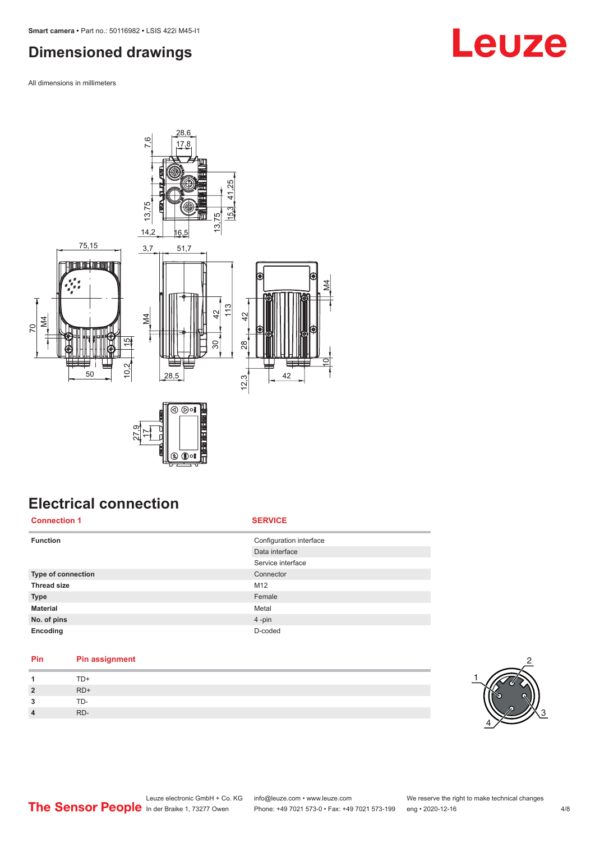# <span id="page-3-0"></span>**Dimensioned drawings**

All dimensions in millimeters



### **Electrical connection Connection 1 SERVICE**

| <b>Function</b>    | Configuration interface |
|--------------------|-------------------------|
|                    | Data interface          |
|                    | Service interface       |
| Type of connection | Connector               |
| <b>Thread size</b> | M12                     |
| <b>Type</b>        | Female                  |
| <b>Material</b>    | Metal                   |
| No. of pins        | 4-pin                   |
| Encoding           | D-coded                 |

### **Pin Pin assignment**

| 1              | TD+   |
|----------------|-------|
| $\overline{2}$ | $RD+$ |
| 3              | TD-   |
| $\overline{a}$ | RD-   |



# **Leuze**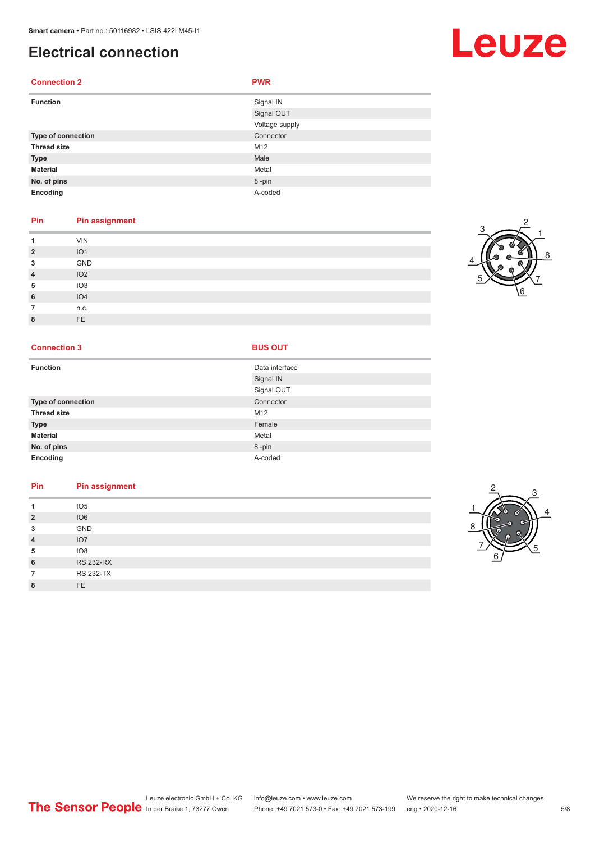# **Electrical connection**

#### **Connection 2 PWR**

| <b>Function</b>    | Signal IN<br>Signal OUT |
|--------------------|-------------------------|
|                    | Voltage supply          |
| Type of connection | Connector               |
| <b>Thread size</b> | M12                     |
| <b>Type</b>        | Male                    |
| <b>Material</b>    | Metal                   |
| No. of pins        | 8-pin                   |
| Encoding           | A-coded                 |

#### **Pin Pin assignment**

|                | <b>VIN</b>      |
|----------------|-----------------|
| $\overline{2}$ | IO <sub>1</sub> |
| 3              | GND             |
| $\overline{4}$ | IO2             |
| 5              | IO <sub>3</sub> |
| 6              | IO4             |
|                | n.c.            |
| $\circ$<br>o   | FE              |

#### **Connection 3 BUS OUT**

| <b>Function</b>    | Data interface |
|--------------------|----------------|
|                    | Signal IN      |
|                    | Signal OUT     |
| Type of connection | Connector      |
| <b>Thread size</b> | M12            |
| <b>Type</b>        | Female         |
| <b>Material</b>    | Metal          |
| No. of pins        | 8-pin          |
| Encoding           | A-coded        |

### **Pin Pin assignment 1** IO5 **2** IO6

| 3              | <b>GND</b>       |
|----------------|------------------|
| $\overline{4}$ | IO7              |
| 5              | IO8              |
| 6              | <b>RS 232-RX</b> |
|                | <b>RS 232-TX</b> |
|                |                  |



# Leuze

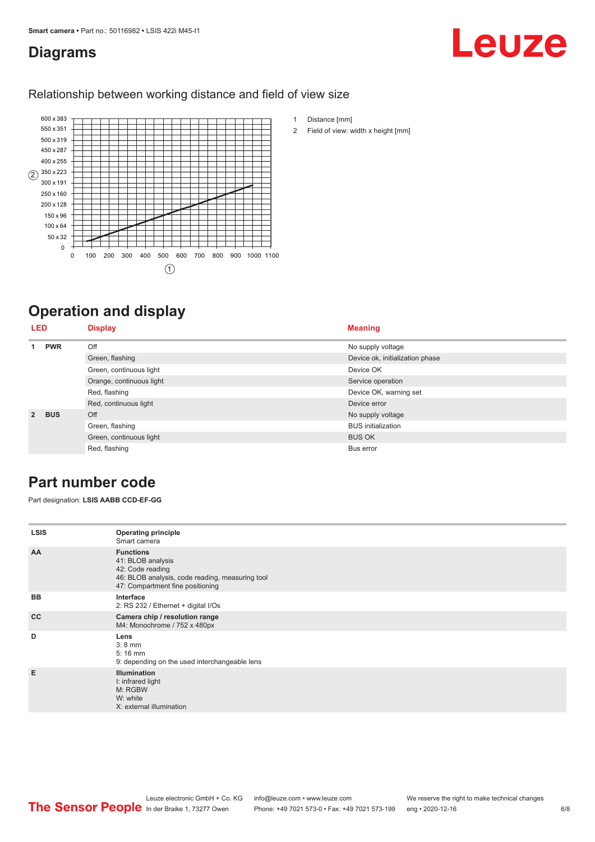### <span id="page-5-0"></span>**Diagrams**

# Leuze

#### Relationship between working distance and field of view size



# **Operation and display**

| <b>LED</b>     |                         | <b>Display</b>            | <b>Meaning</b>                  |
|----------------|-------------------------|---------------------------|---------------------------------|
|                | <b>PWR</b>              | Off                       | No supply voltage               |
|                |                         | Green, flashing           | Device ok, initialization phase |
|                |                         | Green, continuous light   | Device OK                       |
|                |                         | Orange, continuous light  | Service operation               |
|                |                         | Red, flashing             | Device OK, warning set          |
|                |                         | Red, continuous light     | Device error                    |
| $\overline{2}$ | <b>BUS</b>              | Off                       | No supply voltage               |
|                | Green, flashing         | <b>BUS</b> initialization |                                 |
|                | Green, continuous light | <b>BUS OK</b>             |                                 |
|                |                         | Red, flashing             | Bus error                       |

## **Part number code**

Part designation: **LSIS AABB CCD-EF-GG**

| <b>LSIS</b> | <b>Operating principle</b><br>Smart camera                                                                                                       |  |  |  |  |
|-------------|--------------------------------------------------------------------------------------------------------------------------------------------------|--|--|--|--|
| AA          | <b>Functions</b><br>41: BLOB analysis<br>42: Code reading<br>46: BLOB analysis, code reading, measuring tool<br>47: Compartment fine positioning |  |  |  |  |
| <b>BB</b>   | Interface<br>2: RS 232 / Ethernet + digital I/Os                                                                                                 |  |  |  |  |
| cc          | Camera chip / resolution range<br>M4: Monochrome / 752 x 480px                                                                                   |  |  |  |  |
| D           | Lens<br>$3:8$ mm<br>$5:16 \, \text{mm}$<br>9: depending on the used interchangeable lens                                                         |  |  |  |  |
| E           | <b>Illumination</b><br>I: infrared light<br>M: RGBW<br>W: white<br>X: external illumination                                                      |  |  |  |  |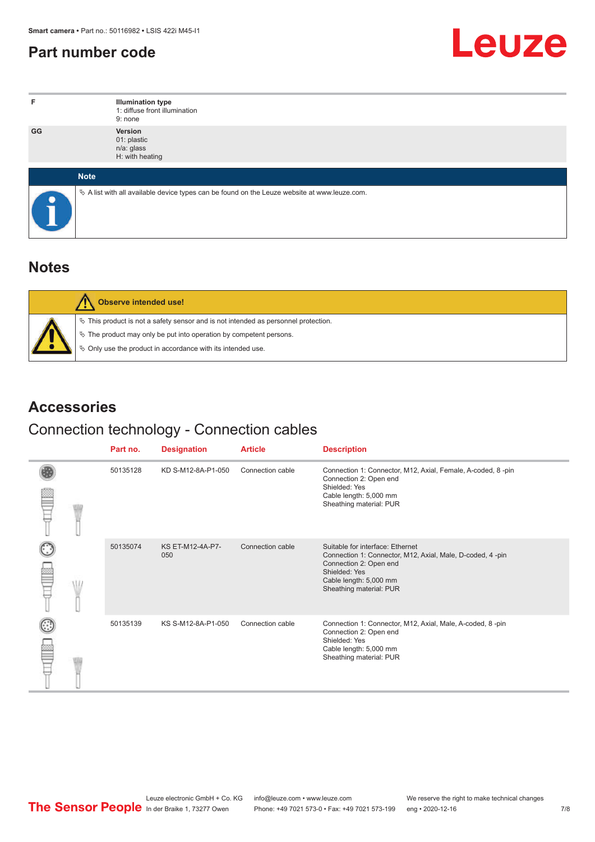# <span id="page-6-0"></span>**Part number code**



| F.        | <b>Illumination type</b><br>1: diffuse front illumination<br>9: none                            |
|-----------|-------------------------------------------------------------------------------------------------|
| GG        | Version<br>01: plastic<br>n/a: glass<br>H: with heating                                         |
|           | <b>Note</b>                                                                                     |
| $\bullet$ | $\&$ A list with all available device types can be found on the Leuze website at www.leuze.com. |

### **Notes**

|  | <b>Observe intended use!</b>                                                          |
|--|---------------------------------------------------------------------------------------|
|  | $\%$ This product is not a safety sensor and is not intended as personnel protection. |
|  | ₹ The product may only be put into operation by competent persons.                    |
|  | § Only use the product in accordance with its intended use.                           |

## **Accessories**

# Connection technology - Connection cables

|  | Part no. | <b>Designation</b>      | <b>Article</b>   | <b>Description</b>                                                                                                                                                                            |
|--|----------|-------------------------|------------------|-----------------------------------------------------------------------------------------------------------------------------------------------------------------------------------------------|
|  | 50135128 | KD S-M12-8A-P1-050      | Connection cable | Connection 1: Connector, M12, Axial, Female, A-coded, 8-pin<br>Connection 2: Open end<br>Shielded: Yes<br>Cable length: 5,000 mm<br>Sheathing material: PUR                                   |
|  | 50135074 | KS ET-M12-4A-P7-<br>050 | Connection cable | Suitable for interface: Ethernet<br>Connection 1: Connector, M12, Axial, Male, D-coded, 4-pin<br>Connection 2: Open end<br>Shielded: Yes<br>Cable length: 5,000 mm<br>Sheathing material: PUR |
|  | 50135139 | KS S-M12-8A-P1-050      | Connection cable | Connection 1: Connector, M12, Axial, Male, A-coded, 8-pin<br>Connection 2: Open end<br>Shielded: Yes<br>Cable length: 5,000 mm<br>Sheathing material: PUR                                     |